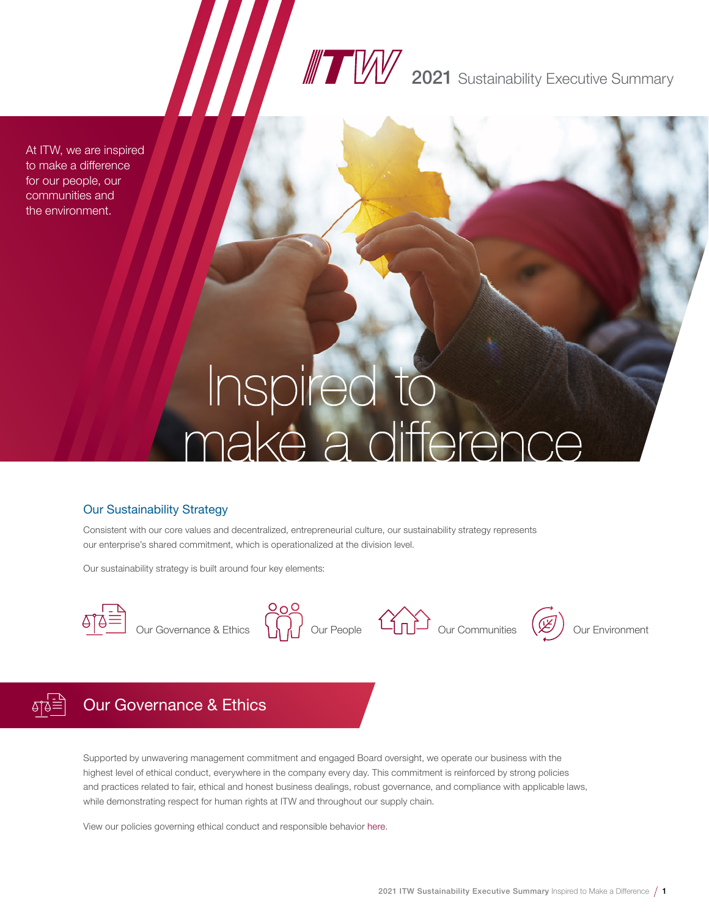# **2021** Sustainability Executive Summary

At ITW, we are inspired to make a difference for our people, our communities and the environment.

# Inspired to<br>make a difference

### Our Sustainability Strategy

Consistent with our core values and decentralized, entrepreneurial culture, our sustainability strategy represents our enterprise's shared commitment, which is operationalized at the division level.

Our sustainability strategy is built around four key elements:







# Our Governance & Ethics

Supported by unwavering management commitment and engaged Board oversight, we operate our business with the highest level of ethical conduct, everywhere in the company every day. This commitment is reinforced by strong policies and practices related to fair, ethical and honest business dealings, robust governance, and compliance with applicable laws, while demonstrating respect for human rights at ITW and throughout our supply chain.

View our policies governing ethical conduct and responsible behavior [here](https://investor.itw.com/governance/documents/default.aspx).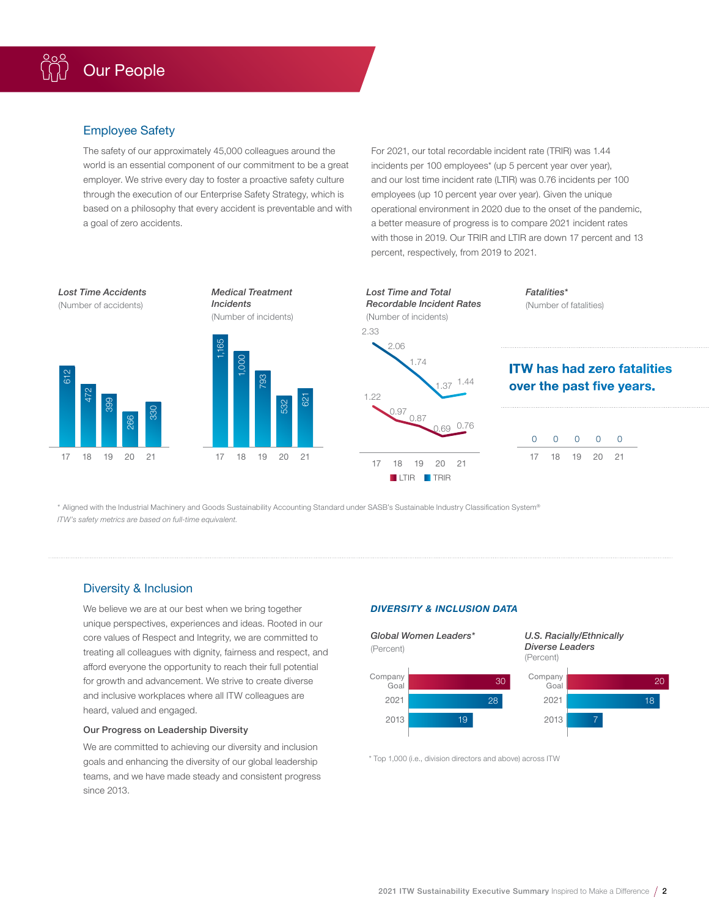### Employee Safety

The safety of our approximately 45,000 colleagues around the world is an essential component of our commitment to be a great employer. We strive every day to foster a proactive safety culture through the execution of our Enterprise Safety Strategy, which is based on a philosophy that every accident is preventable and with a goal of zero accidents.

For 2021, our total recordable incident rate (TRIR) was 1.44 incidents per 100 employees\* (up 5 percent year over year), and our lost time incident rate (LTIR) was 0.76 incidents per 100 employees (up 10 percent year over year). Given the unique operational environment in 2020 due to the onset of the pandemic, a better measure of progress is to compare 2021 incident rates with those in 2019. Our TRIR and LTIR are down 17 percent and 13 percent, respectively, from 2019 to 2021.



\* Aligned with the Industrial Machinery and Goods Sustainability Accounting Standard under SASB's Sustainable Industry Classification System® *ITW's safety metrics are based on full-time equivalent.*

### Diversity & Inclusion

We believe we are at our best when we bring together unique perspectives, experiences and ideas. Rooted in our core values of Respect and Integrity, we are committed to treating all colleagues with dignity, fairness and respect, and afford everyone the opportunity to reach their full potential for growth and advancement. We strive to create diverse and inclusive workplaces where all ITW colleagues are heard, valued and engaged.

### Our Progress on Leadership Diversity

We are committed to achieving our diversity and inclusion goals and enhancing the diversity of our global leadership teams, and we have made steady and consistent progress since 2013.

### *DIVERSITY & INCLUSION DATA*



\* Top 1,000 (i.e., division directors and above) across ITW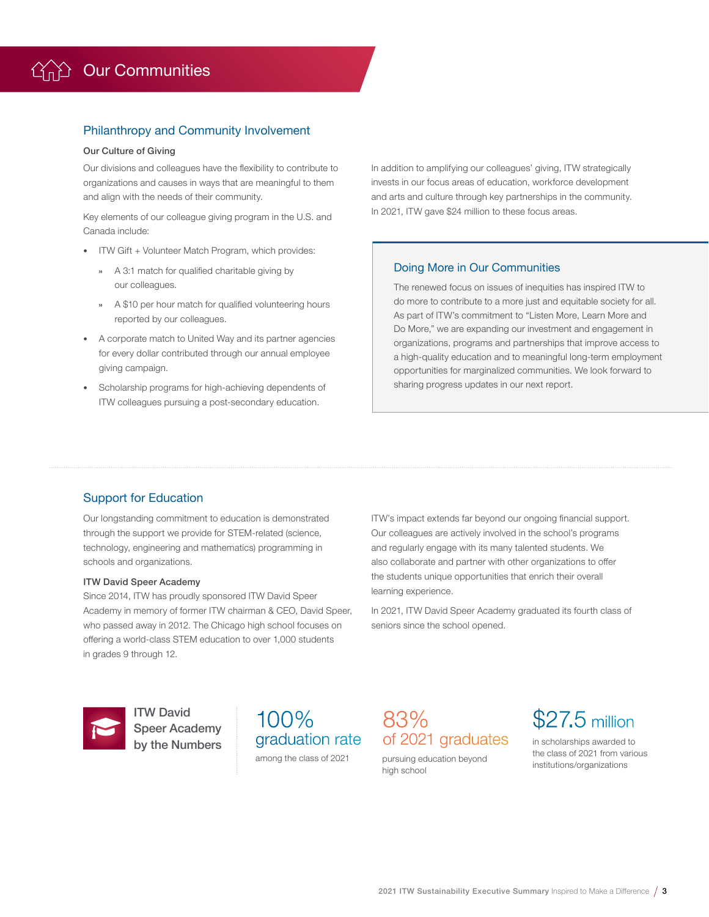### Philanthropy and Community Involvement

### Our Culture of Giving

Our divisions and colleagues have the flexibility to contribute to organizations and causes in ways that are meaningful to them and align with the needs of their community.

Key elements of our colleague giving program in the U.S. and Canada include:

- ITW Gift + Volunteer Match Program, which provides:
	- **»** A 3:1 match for qualified charitable giving by our colleagues.
	- **»** A \$10 per hour match for qualified volunteering hours reported by our colleagues.
- A corporate match to United Way and its partner agencies for every dollar contributed through our annual employee giving campaign.
- Scholarship programs for high-achieving dependents of ITW colleagues pursuing a post-secondary education.

In addition to amplifying our colleagues' giving, ITW strategically invests in our focus areas of education, workforce development and arts and culture through key partnerships in the community. In 2021, ITW gave \$24 million to these focus areas.

### Doing More in Our Communities

The renewed focus on issues of inequities has inspired ITW to do more to contribute to a more just and equitable society for all. As part of ITW's commitment to "Listen More, Learn More and Do More," we are expanding our investment and engagement in organizations, programs and partnerships that improve access to a high-quality education and to meaningful long-term employment opportunities for marginalized communities. We look forward to sharing progress updates in our next report.

### Support for Education

Our longstanding commitment to education is demonstrated through the support we provide for STEM-related (science, technology, engineering and mathematics) programming in schools and organizations.

### ITW David Speer Academy

Since 2014, ITW has proudly sponsored ITW David Speer Academy in memory of former ITW chairman & CEO, David Speer, who passed away in 2012. The Chicago high school focuses on offering a world-class STEM education to over 1,000 students in grades 9 through 12.

ITW's impact extends far beyond our ongoing financial support. Our colleagues are actively involved in the school's programs and regularly engage with its many talented students. We also collaborate and partner with other organizations to offer the students unique opportunities that enrich their overall learning experience.

In 2021, ITW David Speer Academy graduated its fourth class of seniors since the school opened.



ITW David Speer Academy by the Numbers

## 100% graduation rate among the class of 2021

83% of 2021 graduates

pursuing education beyond high school

\$27.5 million

in scholarships awarded to the class of 2021 from various institutions/organizations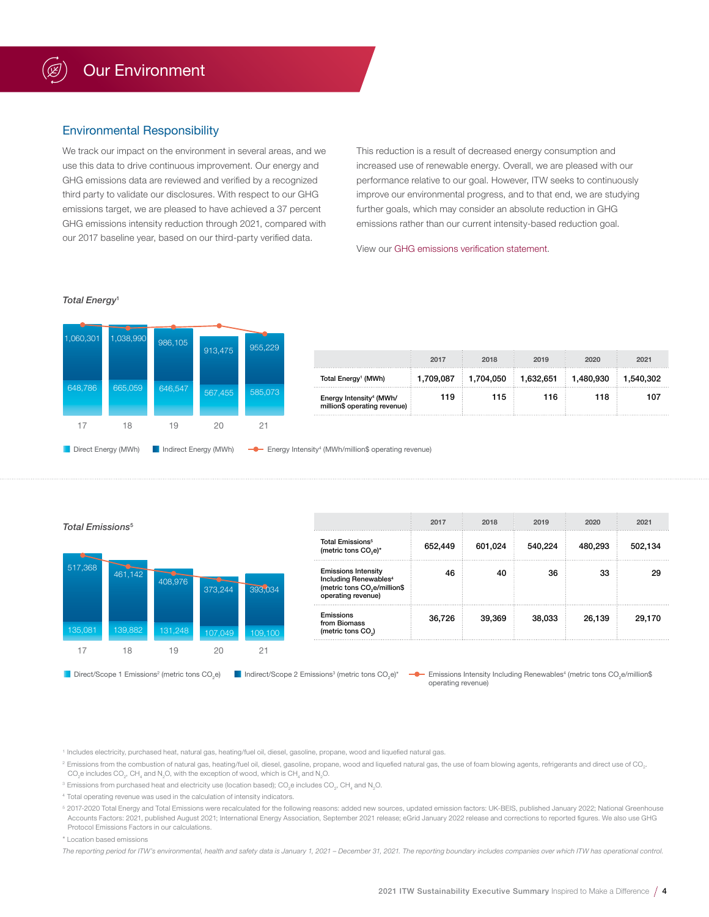### Environmental Responsibility

We track our impact on the environment in several areas, and we use this data to drive continuous improvement. Our energy and GHG emissions data are reviewed and verified by a recognized third party to validate our disclosures. With respect to our GHG emissions target, we are pleased to have achieved a 37 percent GHG emissions intensity reduction through 2021, compared with our 2017 baseline year, based on our third-party verified data.

This reduction is a result of decreased energy consumption and increased use of renewable energy. Overall, we are pleased with our performance relative to our goal. However, ITW seeks to continuously improve our environmental progress, and to that end, we are studying further goals, which may consider an absolute reduction in GHG emissions rather than our current intensity-based reduction goal.

View our [GHG emissions verification statement.](https://www.itw.com/sustainability/reports-and-downloads/)

### *Total Energy*<sup>1</sup>



| Total Emissions <sup>5</sup> |         |         |         |         |                                                                                                                                   | 2017    | 2018    | 2019    | 2020    | 2021    |
|------------------------------|---------|---------|---------|---------|-----------------------------------------------------------------------------------------------------------------------------------|---------|---------|---------|---------|---------|
|                              |         |         |         |         | <b>Total Emissions<sup>5</sup></b><br>(metric tons CO <sub>2</sub> e)*                                                            | 652,449 | 601,024 | 540,224 | 480,293 | 502,134 |
| 517,368                      | 461,142 | 408,976 | 373.244 | 393,034 | <b>Emissions Intensity</b><br>Including Renewables <sup>4</sup><br>(metric tons CO <sub>2</sub> e/million\$<br>operating revenue) | 46      | 40      | 36      | 33      | 29      |
| 135,081                      | 139,882 | 131,248 | 107,049 | 109,100 | Emissions<br>from Biomass<br>(metric tons CO <sub>2</sub> )                                                                       | 36,726  | 39,369  | 38,033  | 26,139  | 29.170  |
|                              | 18      | 19      | 20      | 21      |                                                                                                                                   |         |         |         |         |         |

Direct/Scope 1 Emissions<sup>2</sup> (metric tons  $CO<sub>2</sub>$ e)

Indirect/Scope 2 Emissions<sup>3</sup> (metric tons CO<sub>2</sub>e)\* **Example 3 Emissions Intensity Including Renewables<sup>4</sup> (metric tons CO<sub>2</sub>e/million\$** operating revenue)

<sup>1</sup> Includes electricity, purchased heat, natural gas, heating/fuel oil, diesel, gasoline, propane, wood and liquefied natural gas.

 $^2$  Emissions from the combustion of natural gas, heating/fuel oil, diesel, gasoline, propane, wood and liquefied natural gas, the use of foam blowing agents, refrigerants and direct use of CO<sub>2</sub>. CO<sub>2</sub>e includes CO<sub>2</sub>, CH<sub>4</sub> and N<sub>2</sub>O, with the exception of wood, which is CH<sub>4</sub> and N<sub>2</sub>O.

 $^{\rm 3}$  Emissions from purchased heat and electricity use (location based); CO<sub>2</sub>e includes CO<sub>2</sub>, CH<sub>4</sub> and N<sub>2</sub>O.

<sup>4</sup> Total operating revenue was used in the calculation of intensity indicators.

5 2017-2020 Total Energy and Total Emissions were recalculated for the following reasons: added new sources, updated emission factors: UK-BEIS, published January 2022; National Greenhouse Accounts Factors: 2021, published August 2021; International Energy Association, September 2021 release; eGrid January 2022 release and corrections to reported figures. We also use GHG Protocol Emissions Factors in our calculations.

### \* Location based emissions

*The reporting period for ITW's environmental, health and safety data is January 1, 2021 – December 31, 2021. The reporting boundary includes companies over which ITW has operational control.*